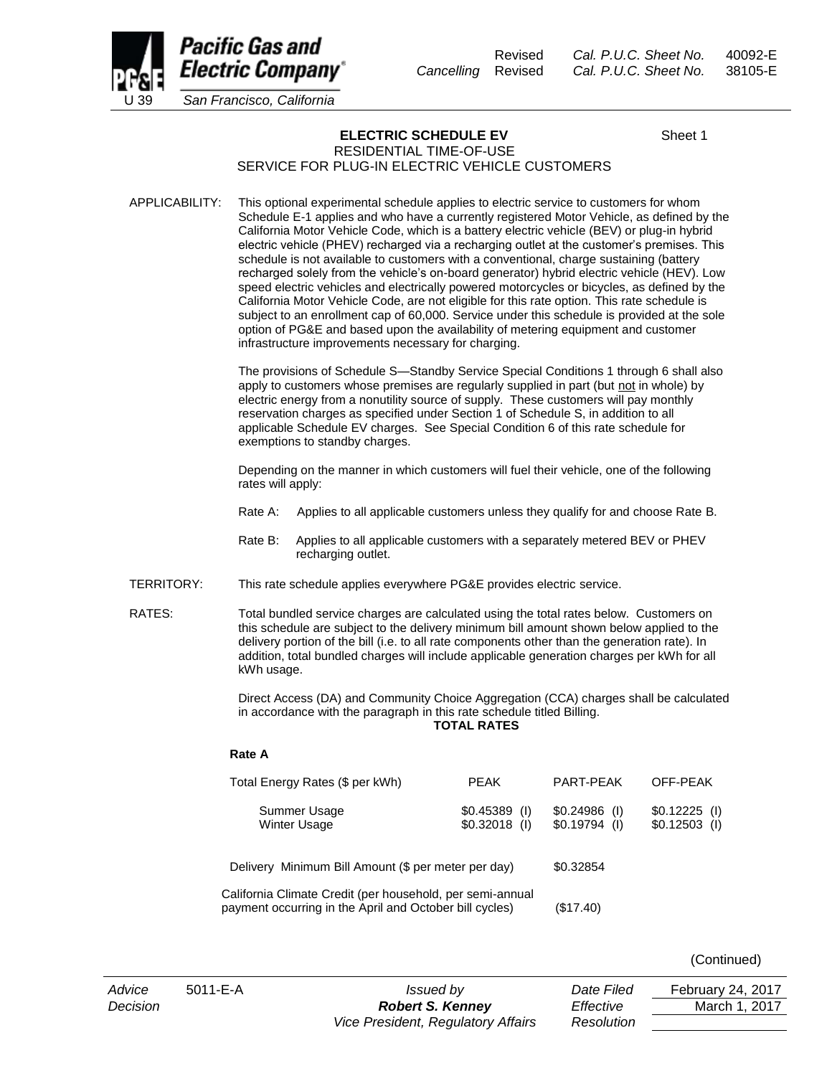

Revised *Cal. P.U.C. Sheet No.* 40092-E *Cancelling* Revised *Cal. P.U.C. Sheet No.* 38105-E

## **ELECTRIC SCHEDULE EV** Sheet 1

### RESIDENTIAL TIME-OF-USE SERVICE FOR PLUG-IN ELECTRIC VEHICLE CUSTOMERS

APPLICABILITY: This optional experimental schedule applies to electric service to customers for whom Schedule E-1 applies and who have a currently registered Motor Vehicle, as defined by the California Motor Vehicle Code, which is a battery electric vehicle (BEV) or plug-in hybrid electric vehicle (PHEV) recharged via a recharging outlet at the customer's premises. This schedule is not available to customers with a conventional, charge sustaining (battery recharged solely from the vehicle's on-board generator) hybrid electric vehicle (HEV). Low speed electric vehicles and electrically powered motorcycles or bicycles, as defined by the California Motor Vehicle Code, are not eligible for this rate option. This rate schedule is subject to an enrollment cap of 60,000. Service under this schedule is provided at the sole option of PG&E and based upon the availability of metering equipment and customer infrastructure improvements necessary for charging.

> The provisions of Schedule S—Standby Service Special Conditions 1 through 6 shall also apply to customers whose premises are regularly supplied in part (but not in whole) by electric energy from a nonutility source of supply. These customers will pay monthly reservation charges as specified under Section 1 of Schedule S, in addition to all applicable Schedule EV charges. See Special Condition 6 of this rate schedule for exemptions to standby charges.

Depending on the manner in which customers will fuel their vehicle, one of the following rates will apply:

- Rate A: Applies to all applicable customers unless they qualify for and choose Rate B.
- Rate B: Applies to all applicable customers with a separately metered BEV or PHEV recharging outlet.
- TERRITORY: This rate schedule applies everywhere PG&E provides electric service.

RATES: Total bundled service charges are calculated using the total rates below. Customers on this schedule are subject to the delivery minimum bill amount shown below applied to the delivery portion of the bill (i.e. to all rate components other than the generation rate). In addition, total bundled charges will include applicable generation charges per kWh for all kWh usage.

> Direct Access (DA) and Community Choice Aggregation (CCA) charges shall be calculated in accordance with the paragraph in this rate schedule titled Billing.

**TOTAL RATES**

#### **Rate A**

| Total Energy Rates (\$ per kWh)                                                                                      | <b>PEAK</b>                      | PART-PFAK                        | OFF-PEAK                         |
|----------------------------------------------------------------------------------------------------------------------|----------------------------------|----------------------------------|----------------------------------|
| Summer Usage<br><b>Winter Usage</b>                                                                                  | $$0.45389$ (I)<br>$$0.32018$ (I) | $$0.24986$ (I)<br>$$0.19794$ (I) | $$0.12225$ (1)<br>$$0.12503$ (I) |
| Delivery Minimum Bill Amount (\$ per meter per day)                                                                  |                                  | \$0.32854                        |                                  |
| California Climate Credit (per household, per semi-annual<br>payment occurring in the April and October bill cycles) |                                  | (\$17.40)                        |                                  |

(Continued)

*Advice* 5011-E-A *Issued by Date Filed* February 24, 2017 *Decision Robert S. Kenney Effective* March 1, 2017 *Vice President, Regulatory Affairs Resolution*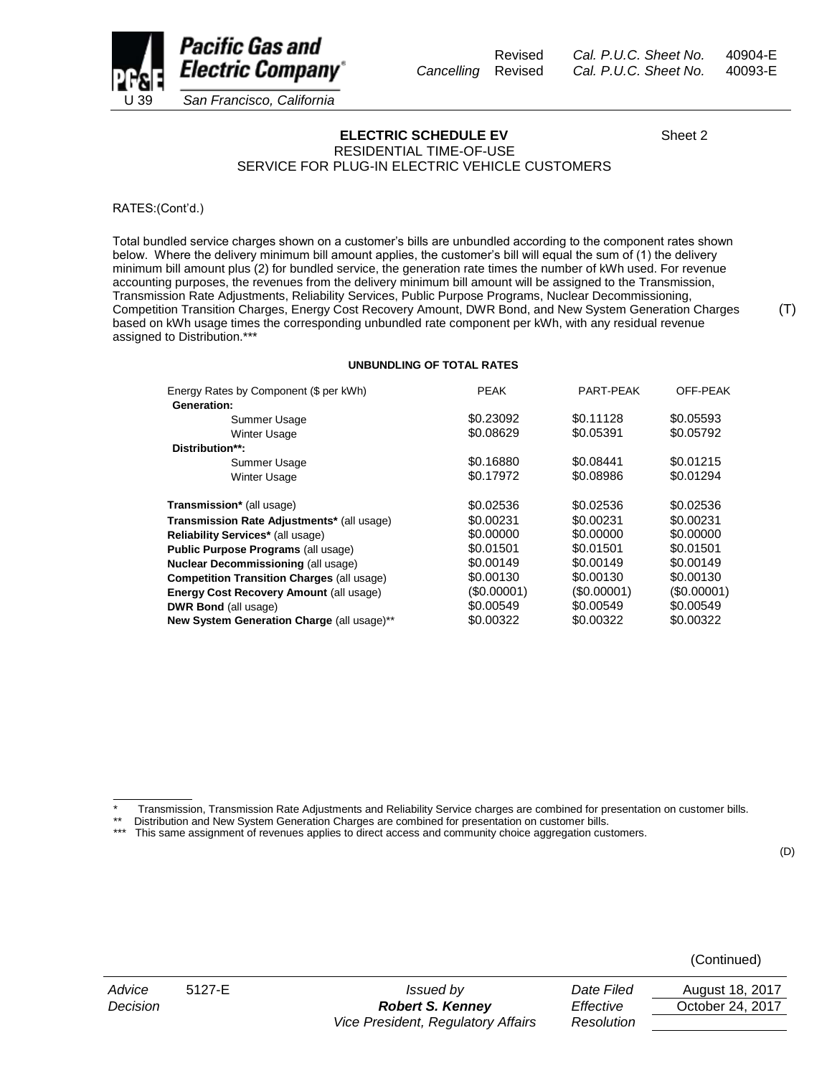



(T)



**ELECTRIC SCHEDULE EV** Sheet 2

RESIDENTIAL TIME-OF-USE SERVICE FOR PLUG-IN ELECTRIC VEHICLE CUSTOMERS

RATES:(Cont'd.)

Total bundled service charges shown on a customer's bills are unbundled according to the component rates shown below. Where the delivery minimum bill amount applies, the customer's bill will equal the sum of (1) the delivery minimum bill amount plus (2) for bundled service, the generation rate times the number of kWh used. For revenue accounting purposes, the revenues from the delivery minimum bill amount will be assigned to the Transmission, Transmission Rate Adjustments, Reliability Services, Public Purpose Programs, Nuclear Decommissioning, Competition Transition Charges, Energy Cost Recovery Amount, DWR Bond, and New System Generation Charges based on kWh usage times the corresponding unbundled rate component per kWh, with any residual revenue assigned to Distribution.\*\*\*

#### **UNBUNDLING OF TOTAL RATES**

| Energy Rates by Component (\$ per kWh)            | <b>PEAK</b> | PART-PEAK   | OFF-PEAK   |
|---------------------------------------------------|-------------|-------------|------------|
| Generation:                                       |             |             |            |
| Summer Usage                                      | \$0.23092   | \$0.11128   | \$0.05593  |
| Winter Usage                                      | \$0.08629   | \$0.05391   | \$0.05792  |
| Distribution**:                                   |             |             |            |
| Summer Usage                                      | \$0.16880   | \$0.08441   | \$0.01215  |
| <b>Winter Usage</b>                               | \$0.17972   | \$0.08986   | \$0.01294  |
|                                                   |             |             |            |
| Transmission* (all usage)                         | \$0.02536   | \$0.02536   | \$0.02536  |
| Transmission Rate Adjustments* (all usage)        | \$0.00231   | \$0.00231   | \$0.00231  |
| Reliability Services* (all usage)                 | \$0,00000   | \$0.00000   | \$0,00000  |
| Public Purpose Programs (all usage)               | \$0.01501   | \$0.01501   | \$0.01501  |
| <b>Nuclear Decommissioning (all usage)</b>        | \$0.00149   | \$0.00149   | \$0.00149  |
| <b>Competition Transition Charges (all usage)</b> | \$0.00130   | \$0.00130   | \$0.00130  |
| <b>Energy Cost Recovery Amount (all usage)</b>    | (\$0.00001) | (\$0.00001) | (S0.00001) |
| <b>DWR Bond (all usage)</b>                       | \$0.00549   | \$0.00549   | \$0.00549  |
| New System Generation Charge (all usage)**        | \$0.00322   | \$0.00322   | \$0.00322  |

Transmission, Transmission Rate Adjustments and Reliability Service charges are combined for presentation on customer bills.

\*\* Distribution and New System Generation Charges are combined for presentation on customer bills.<br>\*\*\* This same assignment of revenues applies to direct access and community choice aggregation cus

This same assignment of revenues applies to direct access and community choice aggregation customers.

(D)

(Continued)

 $\mathcal{L}=\mathcal{L}$ 

*Advice* 5127-E *Issued by Date Filed* August 18, 2017 *Decision Robert S. Kenney Vice President, Regulatory Affairs* 

| Date Filed | August 18, 2017  |
|------------|------------------|
| Effective  | October 24, 2017 |
| Resolution |                  |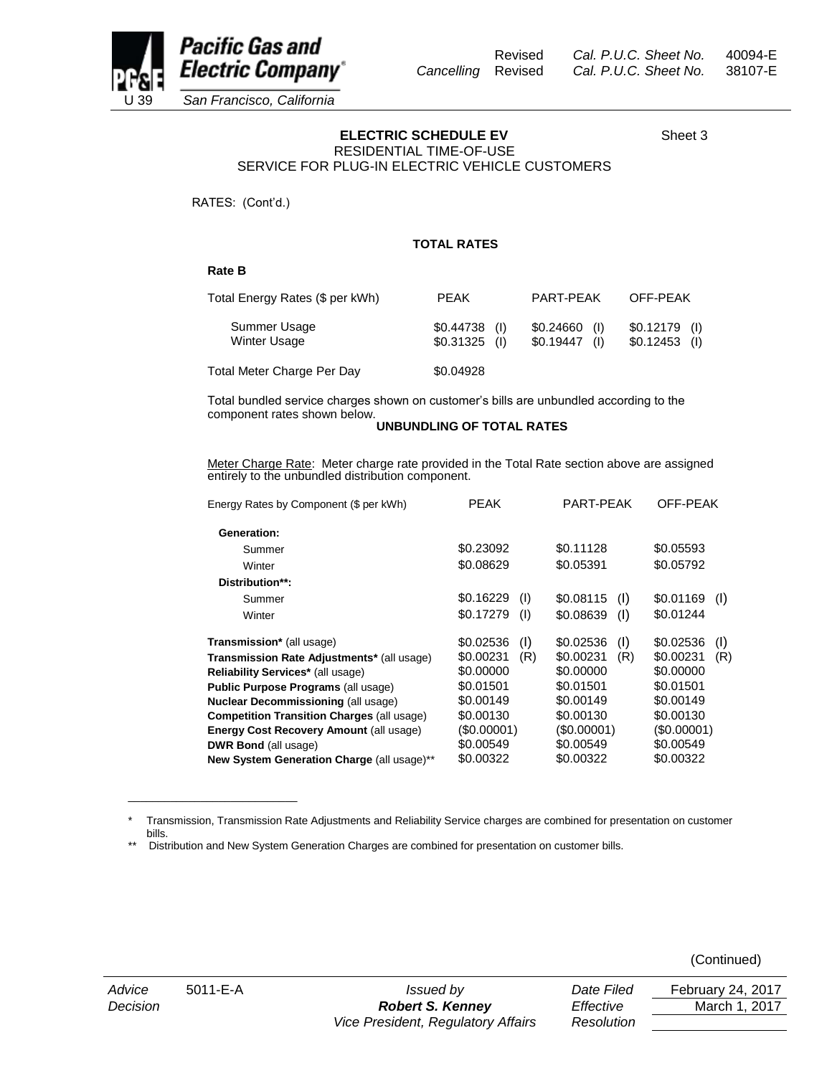



Pacific Gas and **Electric Company**\* U 39 *San Francisco, California*

# **ELECTRIC SCHEDULE EV** Sheet 3

RESIDENTIAL TIME-OF-USE SERVICE FOR PLUG-IN ELECTRIC VEHICLE CUSTOMERS

RATES: (Cont'd.)

### **TOTAL RATES**

#### **Rate B**

| Total Energy Rates (\$ per kWh)     | <b>PEAK</b>                      | PART-PFAK                   | OFF-PEAK                         |
|-------------------------------------|----------------------------------|-----------------------------|----------------------------------|
| Summer Usage<br><b>Winter Usage</b> | $$0.44738$ (I)<br>$$0.31325$ (1) | \$0.24660<br>$$0.19447$ (1) | $$0.12179$ (I)<br>$$0.12453$ (I) |
| Total Meter Charge Per Day          | \$0.04928                        |                             |                                  |

Total bundled service charges shown on customer's bills are unbundled according to the component rates shown below.

#### **UNBUNDLING OF TOTAL RATES**

Meter Charge Rate: Meter charge rate provided in the Total Rate section above are assigned entirely to the unbundled distribution component.

| Energy Rates by Component (\$ per kWh)            | <b>PEAK</b>      | PART-PEAK        | OFF-PEAK         |  |
|---------------------------------------------------|------------------|------------------|------------------|--|
| Generation:                                       |                  |                  |                  |  |
| Summer                                            | \$0.23092        | \$0.11128        | \$0.05593        |  |
| Winter                                            | \$0.08629        | \$0.05391        | \$0.05792        |  |
| Distribution**:                                   |                  |                  |                  |  |
| Summer                                            | \$0.16229<br>(1) | \$0.08115<br>(1) | \$0.01169<br>(1) |  |
| Winter                                            | \$0.17279<br>(1) | \$0.08639<br>(1) | \$0.01244        |  |
| <b>Transmission*</b> (all usage)                  | \$0.02536<br>(1) | \$0.02536<br>(1) | \$0.02536<br>(1) |  |
| <b>Transmission Rate Adjustments*</b> (all usage) | \$0.00231<br>(R) | \$0.00231<br>(R) | \$0.00231<br>(R) |  |
| Reliability Services* (all usage)                 | \$0.00000        | \$0.00000        | \$0.00000        |  |
| Public Purpose Programs (all usage)               | \$0.01501        | \$0.01501        | \$0.01501        |  |
| <b>Nuclear Decommissioning (all usage)</b>        | \$0.00149        | \$0.00149        | \$0.00149        |  |
| <b>Competition Transition Charges (all usage)</b> | \$0.00130        | \$0.00130        | \$0.00130        |  |
| <b>Energy Cost Recovery Amount (all usage)</b>    | (\$0.00001)      | (\$0.00001)      | (\$0.00001)      |  |
| <b>DWR Bond (all usage)</b>                       | \$0.00549        | \$0.00549        | \$0.00549        |  |
| New System Generation Charge (all usage)**        | \$0.00322        | \$0.00322        | \$0.00322        |  |

<sup>\*</sup> Transmission, Transmission Rate Adjustments and Reliability Service charges are combined for presentation on customer bills.

\_\_\_\_\_\_\_\_\_\_\_\_\_\_\_\_\_\_\_\_\_\_\_\_\_\_\_\_

(Continued)

<sup>\*\*</sup> Distribution and New System Generation Charges are combined for presentation on customer bills.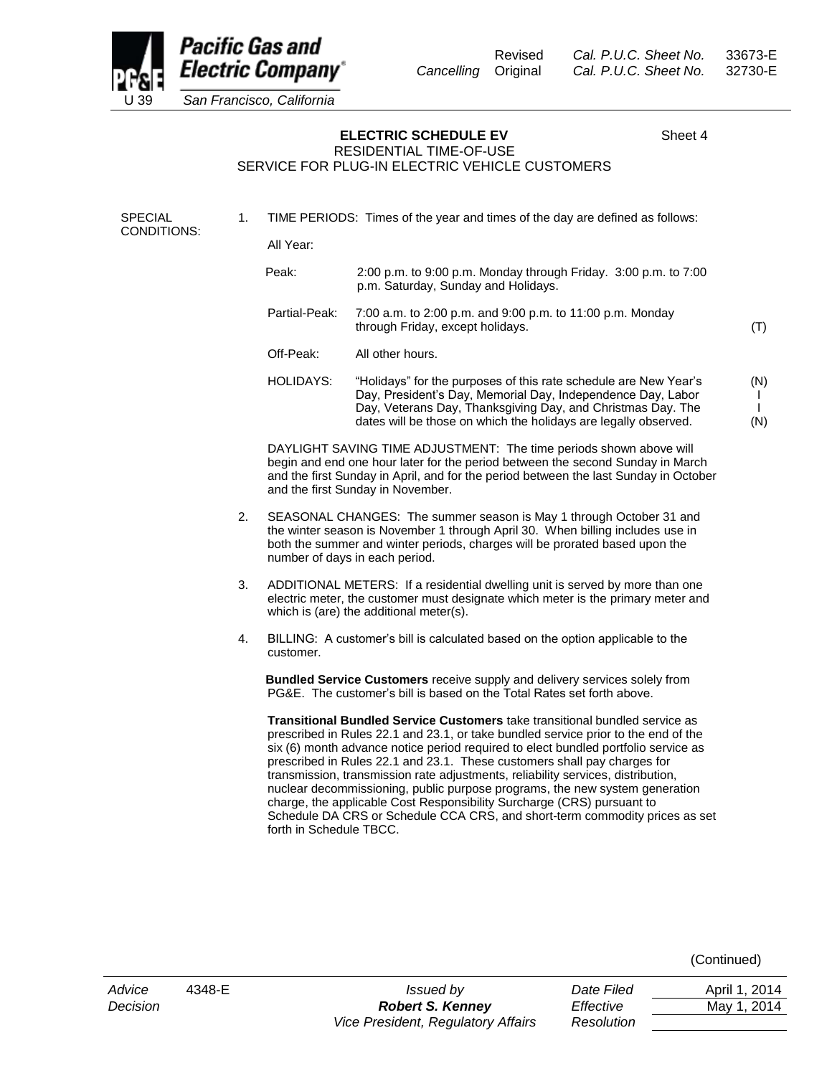

(N)

**ELECTRIC SCHEDULE EV** Sheet 4

### RESIDENTIAL TIME-OF-USE SERVICE FOR PLUG-IN ELECTRIC VEHICLE CUSTOMERS

SPECIAL CONDITIONS: 1. TIME PERIODS: Times of the year and times of the day are defined as follows: All Year: Peak: 2:00 p.m. to 9:00 p.m. Monday through Friday. 3:00 p.m. to 7:00 p.m. Saturday, Sunday and Holidays. Partial-Peak: 7:00 a.m. to 2:00 p.m. and 9:00 p.m. to 11:00 p.m. Monday through Friday, except holidays. Off-Peak: All other hours. HOLIDAYS: "Holidays" for the purposes of this rate schedule are New Year's Day, President's Day, Memorial Day, Independence Day, Labor Day, Veterans Day, Thanksgiving Day, and Christmas Day. The (T) (N) I I

> DAYLIGHT SAVING TIME ADJUSTMENT: The time periods shown above will begin and end one hour later for the period between the second Sunday in March and the first Sunday in April, and for the period between the last Sunday in October and the first Sunday in November.

dates will be those on which the holidays are legally observed.

- 2. SEASONAL CHANGES: The summer season is May 1 through October 31 and the winter season is November 1 through April 30. When billing includes use in both the summer and winter periods, charges will be prorated based upon the number of days in each period.
- 3. ADDITIONAL METERS: If a residential dwelling unit is served by more than one electric meter, the customer must designate which meter is the primary meter and which is (are) the additional meter(s).
- 4. BILLING: A customer's bill is calculated based on the option applicable to the customer.

 **Bundled Service Customers** receive supply and delivery services solely from PG&E. The customer's bill is based on the Total Rates set forth above.

**Transitional Bundled Service Customers** take transitional bundled service as prescribed in Rules 22.1 and 23.1, or take bundled service prior to the end of the six (6) month advance notice period required to elect bundled portfolio service as prescribed in Rules 22.1 and 23.1. These customers shall pay charges for transmission, transmission rate adjustments, reliability services, distribution, nuclear decommissioning, public purpose programs, the new system generation charge, the applicable Cost Responsibility Surcharge (CRS) pursuant to Schedule DA CRS or Schedule CCA CRS, and short-term commodity prices as set forth in Schedule TBCC.

(Continued)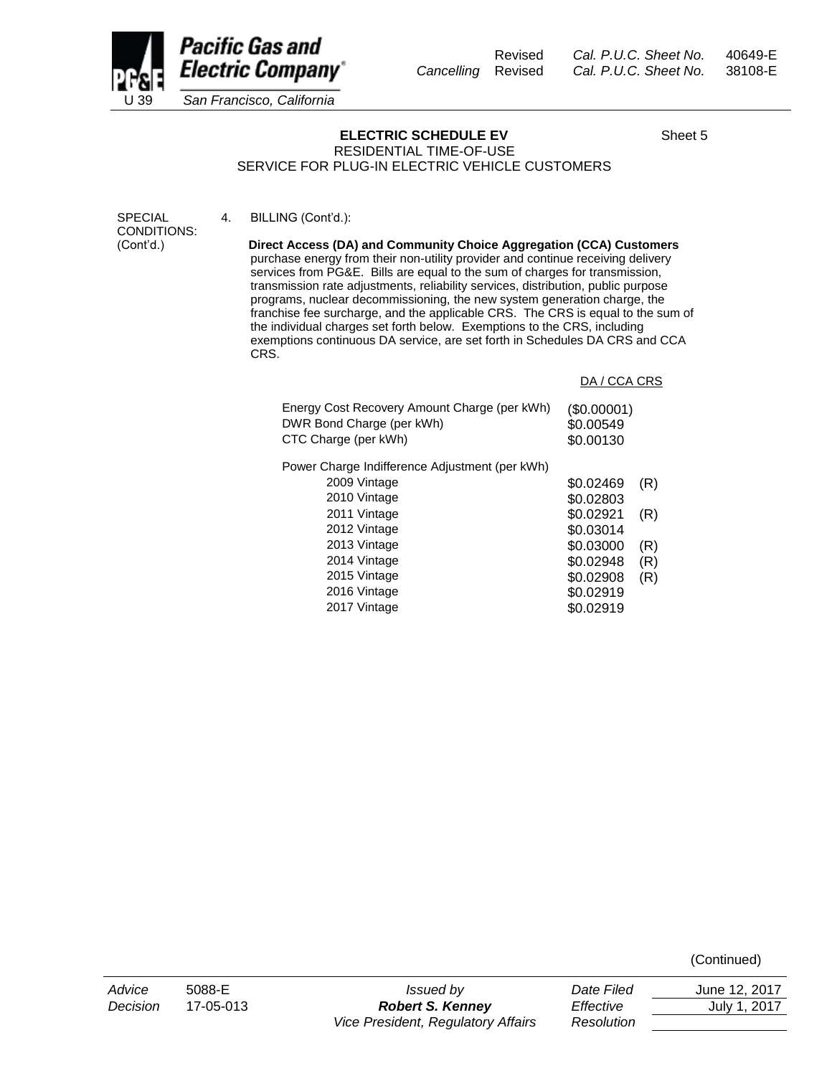

# **ELECTRIC SCHEDULE EV** Sheet 5

RESIDENTIAL TIME-OF-USE SERVICE FOR PLUG-IN ELECTRIC VEHICLE CUSTOMERS

4. BILLING (Cont'd.):

SPECIAL CONDITIONS: (Cont'd.)

 **Direct Access (DA) and Community Choice Aggregation (CCA) Customers** purchase energy from their non-utility provider and continue receiving delivery services from PG&E. Bills are equal to the sum of charges for transmission, transmission rate adjustments, reliability services, distribution, public purpose programs, nuclear decommissioning, the new system generation charge, the franchise fee surcharge, and the applicable CRS. The CRS is equal to the sum of the individual charges set forth below. Exemptions to the CRS, including exemptions continuous DA service, are set forth in Schedules DA CRS and CCA CRS.

| DA / CCA CRS                          |     |
|---------------------------------------|-----|
| (\$0.00001)<br>\$0.00549<br>\$0.00130 |     |
|                                       |     |
| \$0.02469                             | (R) |
| \$0.02803                             |     |
| \$0.02921                             | (R) |
| \$0.03014                             |     |
| \$0.03000                             | (R) |
| \$0.02948                             | (R) |
| \$0.02908                             | (R) |
| \$0.02919                             |     |
| \$0.02919                             |     |
|                                       |     |

(Continued)